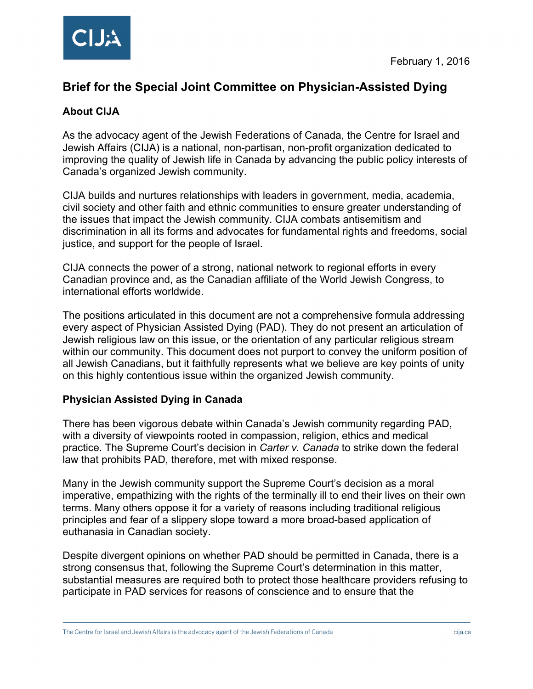# **Brief for the Special Joint Committee on Physician-Assisted Dying**

## **About CIJA**

As the advocacy agent of the Jewish Federations of Canada, the Centre for Israel and Jewish Affairs (CIJA) is a national, non-partisan, non-profit organization dedicated to improving the quality of Jewish life in Canada by advancing the public policy interests of Canada's organized Jewish community.

CIJA builds and nurtures relationships with leaders in government, media, academia, civil society and other faith and ethnic communities to ensure greater understanding of the issues that impact the Jewish community. CIJA combats antisemitism and discrimination in all its forms and advocates for fundamental rights and freedoms, social justice, and support for the people of Israel.

CIJA connects the power of a strong, national network to regional efforts in every Canadian province and, as the Canadian affiliate of the World Jewish Congress, to international efforts worldwide.

The positions articulated in this document are not a comprehensive formula addressing every aspect of Physician Assisted Dying (PAD). They do not present an articulation of Jewish religious law on this issue, or the orientation of any particular religious stream within our community. This document does not purport to convey the uniform position of all Jewish Canadians, but it faithfully represents what we believe are key points of unity on this highly contentious issue within the organized Jewish community.

### **Physician Assisted Dying in Canada**

There has been vigorous debate within Canada's Jewish community regarding PAD, with a diversity of viewpoints rooted in compassion, religion, ethics and medical practice. The Supreme Court's decision in *Carter v. Canada* to strike down the federal law that prohibits PAD, therefore, met with mixed response.

Many in the Jewish community support the Supreme Court's decision as a moral imperative, empathizing with the rights of the terminally ill to end their lives on their own terms. Many others oppose it for a variety of reasons including traditional religious principles and fear of a slippery slope toward a more broad-based application of euthanasia in Canadian society.

Despite divergent opinions on whether PAD should be permitted in Canada, there is a strong consensus that, following the Supreme Court's determination in this matter, substantial measures are required both to protect those healthcare providers refusing to participate in PAD services for reasons of conscience and to ensure that the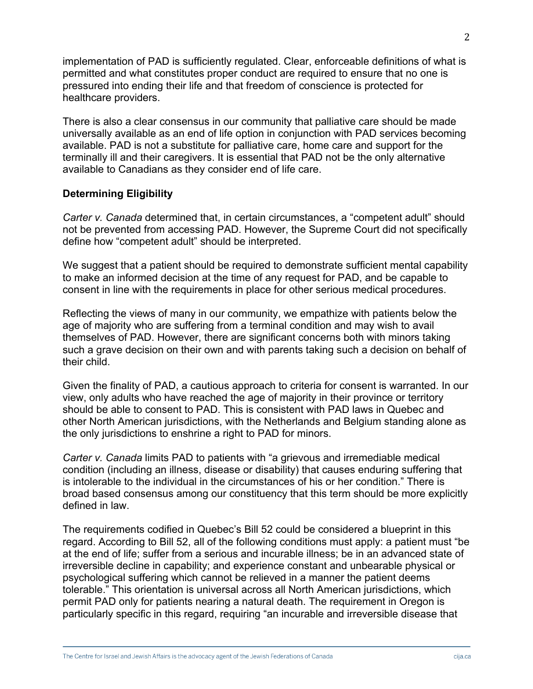implementation of PAD is sufficiently regulated. Clear, enforceable definitions of what is permitted and what constitutes proper conduct are required to ensure that no one is pressured into ending their life and that freedom of conscience is protected for healthcare providers.

There is also a clear consensus in our community that palliative care should be made universally available as an end of life option in conjunction with PAD services becoming available. PAD is not a substitute for palliative care, home care and support for the terminally ill and their caregivers. It is essential that PAD not be the only alternative available to Canadians as they consider end of life care.

#### **Determining Eligibility**

*Carter v. Canada* determined that, in certain circumstances, a "competent adult" should not be prevented from accessing PAD. However, the Supreme Court did not specifically define how "competent adult" should be interpreted.

We suggest that a patient should be required to demonstrate sufficient mental capability to make an informed decision at the time of any request for PAD, and be capable to consent in line with the requirements in place for other serious medical procedures.

Reflecting the views of many in our community, we empathize with patients below the age of majority who are suffering from a terminal condition and may wish to avail themselves of PAD. However, there are significant concerns both with minors taking such a grave decision on their own and with parents taking such a decision on behalf of their child.

Given the finality of PAD, a cautious approach to criteria for consent is warranted. In our view, only adults who have reached the age of majority in their province or territory should be able to consent to PAD. This is consistent with PAD laws in Quebec and other North American jurisdictions, with the Netherlands and Belgium standing alone as the only jurisdictions to enshrine a right to PAD for minors.

*Carter v. Canada* limits PAD to patients with "a grievous and irremediable medical condition (including an illness, disease or disability) that causes enduring suffering that is intolerable to the individual in the circumstances of his or her condition." There is broad based consensus among our constituency that this term should be more explicitly defined in law.

The requirements codified in Quebec's Bill 52 could be considered a blueprint in this regard. According to Bill 52, all of the following conditions must apply: a patient must "be at the end of life; suffer from a serious and incurable illness; be in an advanced state of irreversible decline in capability; and experience constant and unbearable physical or psychological suffering which cannot be relieved in a manner the patient deems tolerable." This orientation is universal across all North American jurisdictions, which permit PAD only for patients nearing a natural death. The requirement in Oregon is particularly specific in this regard, requiring "an incurable and irreversible disease that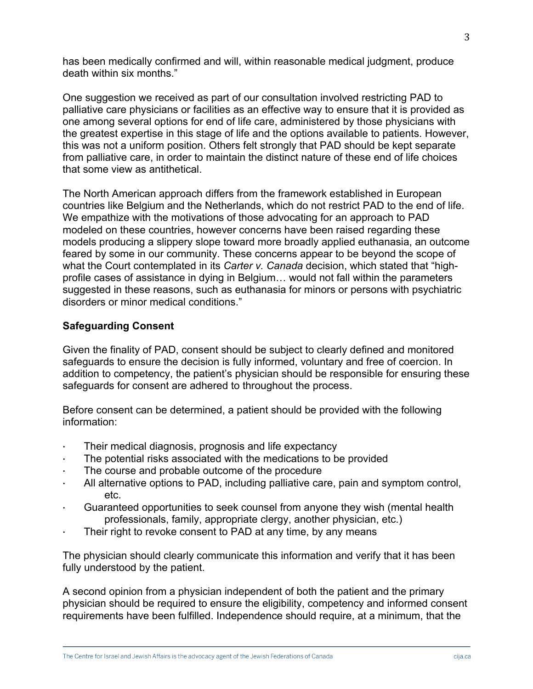has been medically confirmed and will, within reasonable medical judgment, produce death within six months."

One suggestion we received as part of our consultation involved restricting PAD to palliative care physicians or facilities as an effective way to ensure that it is provided as one among several options for end of life care, administered by those physicians with the greatest expertise in this stage of life and the options available to patients. However, this was not a uniform position. Others felt strongly that PAD should be kept separate from palliative care, in order to maintain the distinct nature of these end of life choices that some view as antithetical.

The North American approach differs from the framework established in European countries like Belgium and the Netherlands, which do not restrict PAD to the end of life. We empathize with the motivations of those advocating for an approach to PAD modeled on these countries, however concerns have been raised regarding these models producing a slippery slope toward more broadly applied euthanasia, an outcome feared by some in our community. These concerns appear to be beyond the scope of what the Court contemplated in its *Carter v. Canada* decision, which stated that "highprofile cases of assistance in dying in Belgium… would not fall within the parameters suggested in these reasons, such as euthanasia for minors or persons with psychiatric disorders or minor medical conditions."

#### **Safeguarding Consent**

Given the finality of PAD, consent should be subject to clearly defined and monitored safeguards to ensure the decision is fully informed, voluntary and free of coercion. In addition to competency, the patient's physician should be responsible for ensuring these safeguards for consent are adhered to throughout the process.

Before consent can be determined, a patient should be provided with the following information:

- Their medical diagnosis, prognosis and life expectancy
- The potential risks associated with the medications to be provided
- The course and probable outcome of the procedure
- · All alternative options to PAD, including palliative care, pain and symptom control, etc.
- Guaranteed opportunities to seek counsel from anyone they wish (mental health professionals, family, appropriate clergy, another physician, etc.)
- Their right to revoke consent to PAD at any time, by any means

The physician should clearly communicate this information and verify that it has been fully understood by the patient.

A second opinion from a physician independent of both the patient and the primary physician should be required to ensure the eligibility, competency and informed consent requirements have been fulfilled. Independence should require, at a minimum, that the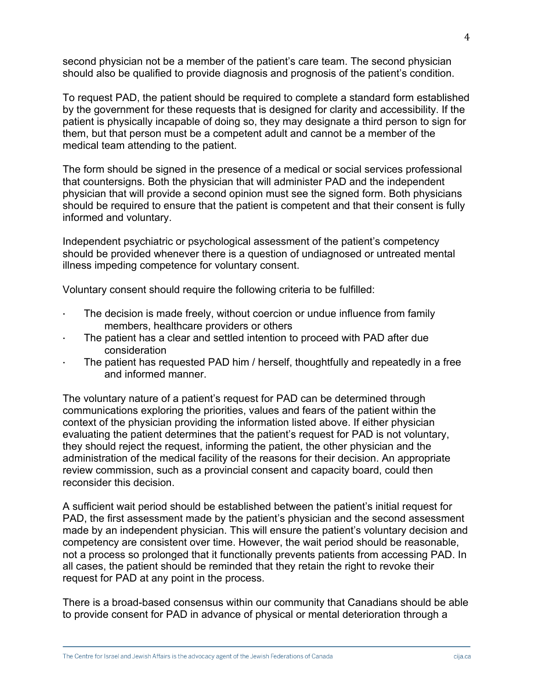second physician not be a member of the patient's care team. The second physician should also be qualified to provide diagnosis and prognosis of the patient's condition.

To request PAD, the patient should be required to complete a standard form established by the government for these requests that is designed for clarity and accessibility. If the patient is physically incapable of doing so, they may designate a third person to sign for them, but that person must be a competent adult and cannot be a member of the medical team attending to the patient.

The form should be signed in the presence of a medical or social services professional that countersigns. Both the physician that will administer PAD and the independent physician that will provide a second opinion must see the signed form. Both physicians should be required to ensure that the patient is competent and that their consent is fully informed and voluntary.

Independent psychiatric or psychological assessment of the patient's competency should be provided whenever there is a question of undiagnosed or untreated mental illness impeding competence for voluntary consent.

Voluntary consent should require the following criteria to be fulfilled:

- · The decision is made freely, without coercion or undue influence from family members, healthcare providers or others
- The patient has a clear and settled intention to proceed with PAD after due consideration
- The patient has requested PAD him / herself, thoughtfully and repeatedly in a free and informed manner.

The voluntary nature of a patient's request for PAD can be determined through communications exploring the priorities, values and fears of the patient within the context of the physician providing the information listed above. If either physician evaluating the patient determines that the patient's request for PAD is not voluntary, they should reject the request, informing the patient, the other physician and the administration of the medical facility of the reasons for their decision. An appropriate review commission, such as a provincial consent and capacity board, could then reconsider this decision.

A sufficient wait period should be established between the patient's initial request for PAD, the first assessment made by the patient's physician and the second assessment made by an independent physician. This will ensure the patient's voluntary decision and competency are consistent over time. However, the wait period should be reasonable, not a process so prolonged that it functionally prevents patients from accessing PAD. In all cases, the patient should be reminded that they retain the right to revoke their request for PAD at any point in the process.

There is a broad-based consensus within our community that Canadians should be able to provide consent for PAD in advance of physical or mental deterioration through a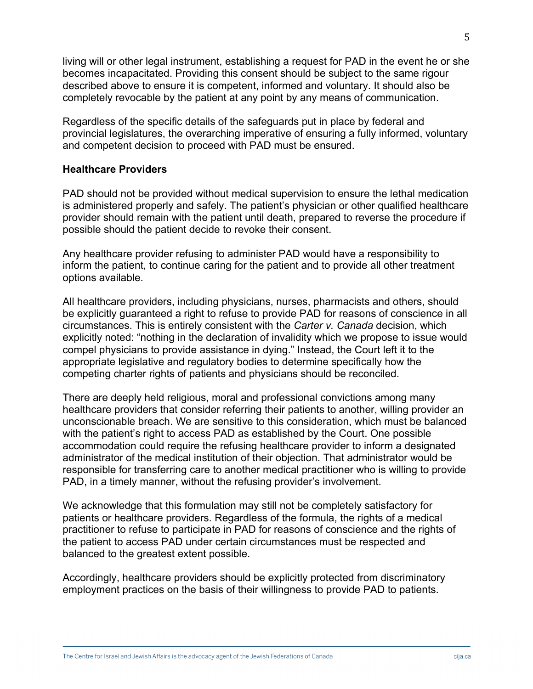living will or other legal instrument, establishing a request for PAD in the event he or she becomes incapacitated. Providing this consent should be subject to the same rigour described above to ensure it is competent, informed and voluntary. It should also be completely revocable by the patient at any point by any means of communication.

Regardless of the specific details of the safeguards put in place by federal and provincial legislatures, the overarching imperative of ensuring a fully informed, voluntary and competent decision to proceed with PAD must be ensured.

#### **Healthcare Providers**

PAD should not be provided without medical supervision to ensure the lethal medication is administered properly and safely. The patient's physician or other qualified healthcare provider should remain with the patient until death, prepared to reverse the procedure if possible should the patient decide to revoke their consent.

Any healthcare provider refusing to administer PAD would have a responsibility to inform the patient, to continue caring for the patient and to provide all other treatment options available.

All healthcare providers, including physicians, nurses, pharmacists and others, should be explicitly guaranteed a right to refuse to provide PAD for reasons of conscience in all circumstances. This is entirely consistent with the *Carter v. Canada* decision, which explicitly noted: "nothing in the declaration of invalidity which we propose to issue would compel physicians to provide assistance in dying." Instead, the Court left it to the appropriate legislative and regulatory bodies to determine specifically how the competing charter rights of patients and physicians should be reconciled.

There are deeply held religious, moral and professional convictions among many healthcare providers that consider referring their patients to another, willing provider an unconscionable breach. We are sensitive to this consideration, which must be balanced with the patient's right to access PAD as established by the Court. One possible accommodation could require the refusing healthcare provider to inform a designated administrator of the medical institution of their objection. That administrator would be responsible for transferring care to another medical practitioner who is willing to provide PAD, in a timely manner, without the refusing provider's involvement.

We acknowledge that this formulation may still not be completely satisfactory for patients or healthcare providers. Regardless of the formula, the rights of a medical practitioner to refuse to participate in PAD for reasons of conscience and the rights of the patient to access PAD under certain circumstances must be respected and balanced to the greatest extent possible.

Accordingly, healthcare providers should be explicitly protected from discriminatory employment practices on the basis of their willingness to provide PAD to patients.